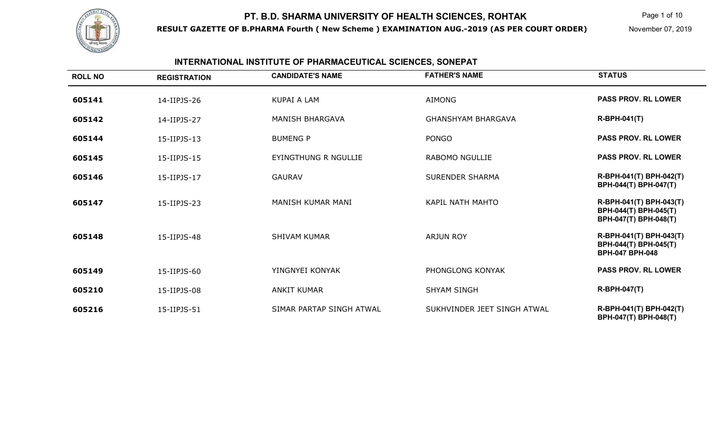

**RESULT GAZETTE OF B.PHARMA Fourth ( New Scheme ) EXAMINATION AUG.-2019 (AS PER COURT ORDER)**

Page 1 of 10

November 07, 2019

## **INTERNATIONAL INSTITUTE OF PHARMACEUTICAL SCIENCES, SONEPAT**

| <b>ROLL NO</b> | <b>REGISTRATION</b> | <b>CANDIDATE'S NAME</b>     | <b>FATHER'S NAME</b>        | <b>STATUS</b>                                                              |
|----------------|---------------------|-----------------------------|-----------------------------|----------------------------------------------------------------------------|
| 605141         | 14-IIPJS-26         | <b>KUPAI A LAM</b>          | AIMONG                      | <b>PASS PROV. RL LOWER</b>                                                 |
| 605142         | 14-IIPJS-27         | <b>MANISH BHARGAVA</b>      | <b>GHANSHYAM BHARGAVA</b>   | <b>R-BPH-041(T)</b>                                                        |
| 605144         | $15$ -IIPJS-13      | <b>BUMENG P</b>             | <b>PONGO</b>                | <b>PASS PROV. RL LOWER</b>                                                 |
| 605145         | 15-IIPJS-15         | <b>EYINGTHUNG R NGULLIE</b> | <b>RABOMO NGULLIE</b>       | <b>PASS PROV. RL LOWER</b>                                                 |
| 605146         | 15-IIPJS-17         | <b>GAURAV</b>               | <b>SURENDER SHARMA</b>      | R-BPH-041(T) BPH-042(T)<br>BPH-044(T) BPH-047(T)                           |
| 605147         | 15-IIPJS-23         | MANISH KUMAR MANI           | <b>KAPIL NATH MAHTO</b>     | R-BPH-041(T) BPH-043(T)<br>BPH-044(T) BPH-045(T)<br>BPH-047(T) BPH-048(T)  |
| 605148         | 15-IIPJS-48         | <b>SHIVAM KUMAR</b>         | <b>ARJUN ROY</b>            | R-BPH-041(T) BPH-043(T)<br>BPH-044(T) BPH-045(T)<br><b>BPH-047 BPH-048</b> |
| 605149         | $15$ -IIPJS-60      | YINGNYEI KONYAK             | PHONGLONG KONYAK            | <b>PASS PROV. RL LOWER</b>                                                 |
| 605210         | 15-IIPJS-08         | <b>ANKIT KUMAR</b>          | <b>SHYAM SINGH</b>          | <b>R-BPH-047(T)</b>                                                        |
| 605216         | 15-IIPJS-51         | SIMAR PARTAP SINGH ATWAL    | SUKHVINDER JEET SINGH ATWAL | R-BPH-041(T) BPH-042(T)<br>BPH-047(T) BPH-048(T)                           |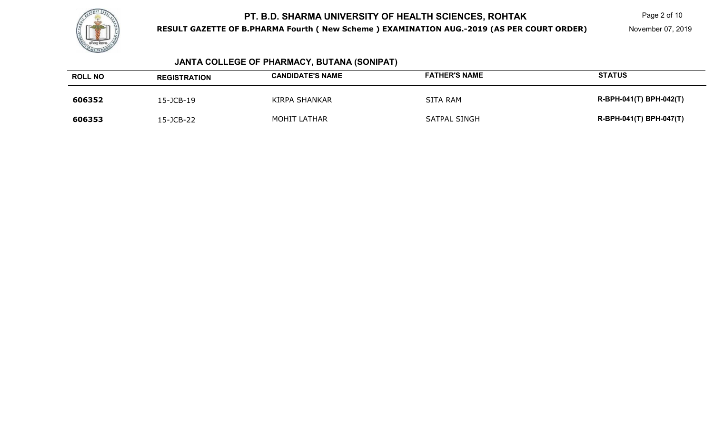

**RESULT GAZETTE OF B.PHARMA Fourth ( New Scheme ) EXAMINATION AUG.-2019 (AS PER COURT ORDER)**

November 07, 2019

# **JANTA COLLEGE OF PHARMACY, BUTANA (SONIPAT)**

| <b>ROLL NO</b> | <b>REGISTRATION</b> | <b>CANDIDATE'S NAME</b> | <b>FATHER'S NAME</b> | <b>STATUS</b>           |
|----------------|---------------------|-------------------------|----------------------|-------------------------|
| 606352         | 15-JCB-19           | KIRPA SHANKAR           | SITA RAM             | R-BPH-041(T) BPH-042(T) |
| 606353         | 15-JCB-22           | <b>MOHIT LATHAR</b>     | <b>SATPAL SINGH</b>  | R-BPH-041(T) BPH-047(T) |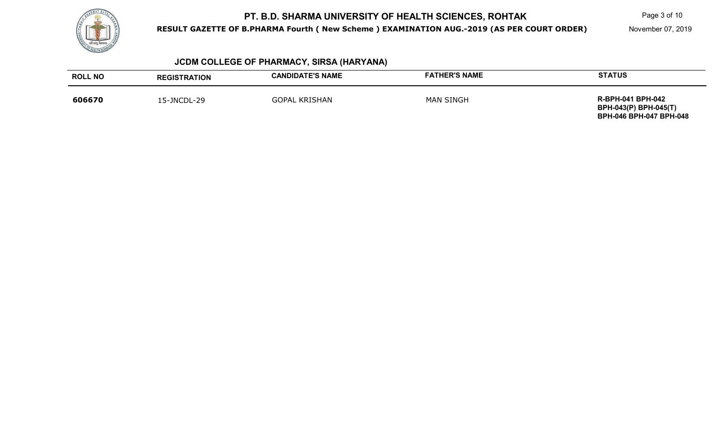

**RESULT GAZETTE OF B.PHARMA Fourth ( New Scheme ) EXAMINATION AUG.-2019 (AS PER COURT ORDER)**

Page 3 of 10

November 07, 2019

# **JCDM COLLEGE OF PHARMACY, SIRSA (HARYANA)**

| <b>ROLL NO</b> | <b>REGISTRATION</b> | <b>CANDIDATE'S NAME</b> | <b>FATHER'S NAME</b> | <b>STATUS</b>                                                                              |
|----------------|---------------------|-------------------------|----------------------|--------------------------------------------------------------------------------------------|
| 606670         | 15-JNCDL-29         | <b>GOPAL KRISHAN</b>    | <b>MAN SINGH</b>     | <b>R-BPH-041 BPH-042</b><br><b>BPH-043(P) BPH-045(T)</b><br><b>BPH-046 BPH-047 BPH-048</b> |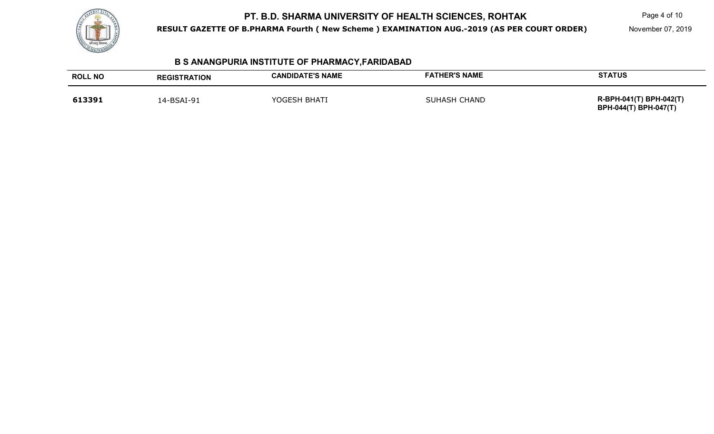

**RESULT GAZETTE OF B.PHARMA Fourth ( New Scheme ) EXAMINATION AUG.-2019 (AS PER COURT ORDER)**

Page 4 of 10

November 07, 2019

# **B S ANANGPURIA INSTITUTE OF PHARMACY,FARIDABAD**

| <b>ROLL NO</b> | <b>REGISTRATION</b> | <b>CANDIDATE'S NAME</b> | <b>FATHER'S NAME</b> | <b>STATUS</b>                                    |
|----------------|---------------------|-------------------------|----------------------|--------------------------------------------------|
| 613391         | 14-BSAI-91          | YOGESH BHATI            | <b>SUHASH CHAND</b>  | R-BPH-041(T) BPH-042(T)<br>BPH-044(T) BPH-047(T) |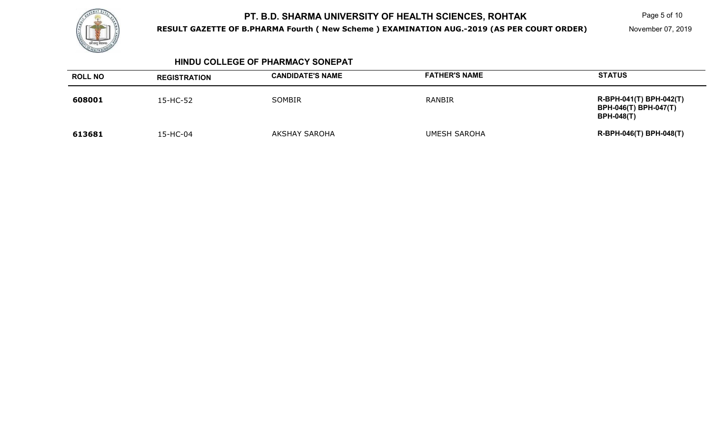

**RESULT GAZETTE OF B.PHARMA Fourth ( New Scheme ) EXAMINATION AUG.-2019 (AS PER COURT ORDER)**

Page 5 of 10

November 07, 2019

### **HINDU COLLEGE OF PHARMACY SONEPAT**

| <b>ROLL NO</b> | <b>REGISTRATION</b> | <b>CANDIDATE'S NAME</b> | <b>FATHER'S NAME</b> | <b>STATUS</b>                                                                |
|----------------|---------------------|-------------------------|----------------------|------------------------------------------------------------------------------|
| 608001         | 15-HC-52            | <b>SOMBIR</b>           | RANBIR               | R-BPH-041(T) BPH-042(T)<br><b>BPH-046(T) BPH-047(T)</b><br><b>BPH-048(T)</b> |
| 613681         | 15-HC-04            | <b>AKSHAY SAROHA</b>    | <b>UMESH SAROHA</b>  | R-BPH-046(T) BPH-048(T)                                                      |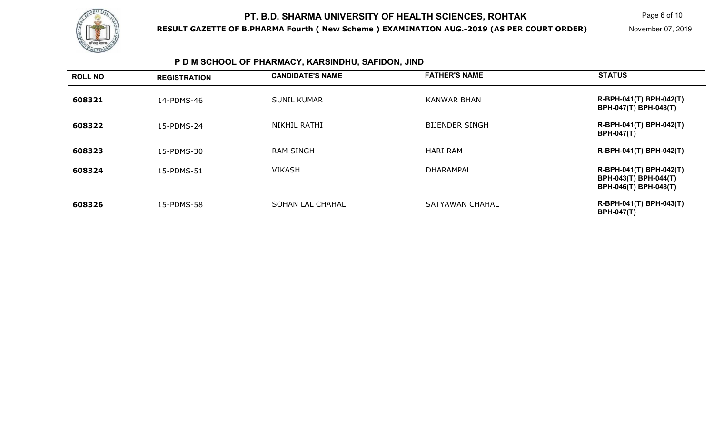

**RESULT GAZETTE OF B.PHARMA Fourth ( New Scheme ) EXAMINATION AUG.-2019 (AS PER COURT ORDER)**

Page 6 of 10

November 07, 2019

# **P D M SCHOOL OF PHARMACY, KARSINDHU, SAFIDON, JIND**

| <b>ROLL NO</b> | <b>REGISTRATION</b> | <b>CANDIDATE'S NAME</b> | <b>FATHER'S NAME</b>  | <b>STATUS</b>                                                             |
|----------------|---------------------|-------------------------|-----------------------|---------------------------------------------------------------------------|
| 608321         | 14-PDMS-46          | <b>SUNIL KUMAR</b>      | <b>KANWAR BHAN</b>    | R-BPH-041(T) BPH-042(T)<br><b>BPH-047(T) BPH-048(T)</b>                   |
| 608322         | 15-PDMS-24          | NIKHIL RATHI            | <b>BIJENDER SINGH</b> | R-BPH-041(T) BPH-042(T)<br><b>BPH-047(T)</b>                              |
| 608323         | 15-PDMS-30          | <b>RAM SINGH</b>        | <b>HARI RAM</b>       | R-BPH-041(T) BPH-042(T)                                                   |
| 608324         | 15-PDMS-51          | <b>VIKASH</b>           | DHARAMPAL             | R-BPH-041(T) BPH-042(T)<br>BPH-043(T) BPH-044(T)<br>BPH-046(T) BPH-048(T) |
| 608326         | 15-PDMS-58          | <b>SOHAN LAL CHAHAL</b> | SATYAWAN CHAHAL       | R-BPH-041(T) BPH-043(T)<br><b>BPH-047(T)</b>                              |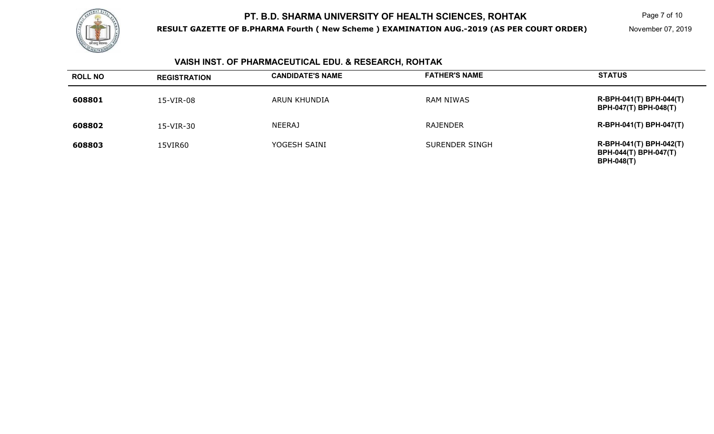

**RESULT GAZETTE OF B.PHARMA Fourth ( New Scheme ) EXAMINATION AUG.-2019 (AS PER COURT ORDER)**

Page 7 of 10

November 07, 2019

# **VAISH INST. OF PHARMACEUTICAL EDU. & RESEARCH, ROHTAK**

| <b>ROLL NO</b> | <b>REGISTRATION</b> | <b>CANDIDATE'S NAME</b> | <b>FATHER'S NAME</b> | <b>STATUS</b>                                                         |
|----------------|---------------------|-------------------------|----------------------|-----------------------------------------------------------------------|
| 608801         | 15-VIR-08           | ARUN KHUNDIA            | <b>RAM NIWAS</b>     | R-BPH-041(T) BPH-044(T)<br><b>BPH-047(T) BPH-048(T)</b>               |
| 608802         | 15-VIR-30           | <b>NEERAJ</b>           | <b>RAJENDER</b>      | R-BPH-041(T) BPH-047(T)                                               |
| 608803         | 15VIR60             | YOGESH SAINI            | SURENDER SINGH       | R-BPH-041(T) BPH-042(T)<br>BPH-044(T) BPH-047(T)<br><b>BPH-048(T)</b> |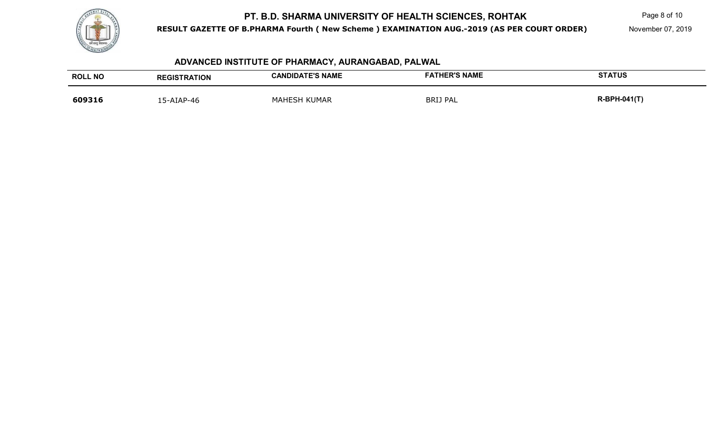

**RESULT GAZETTE OF B.PHARMA Fourth ( New Scheme ) EXAMINATION AUG.-2019 (AS PER COURT ORDER)**

November 07, 2019

# **ADVANCED INSTITUTE OF PHARMACY, AURANGABAD, PALWAL**

| <b>ROLL NO</b> | <b>REGISTRATION</b> | <b>CANDIDATE'S NAME</b> | <b>FATHER'S NAME</b> | <b>STATUS</b>       |
|----------------|---------------------|-------------------------|----------------------|---------------------|
| 609316         | L5-AIAP-46          | <b>MAHESH KUMAR</b>     | <b>BRIJ PAL</b>      | <b>R-BPH-041(T)</b> |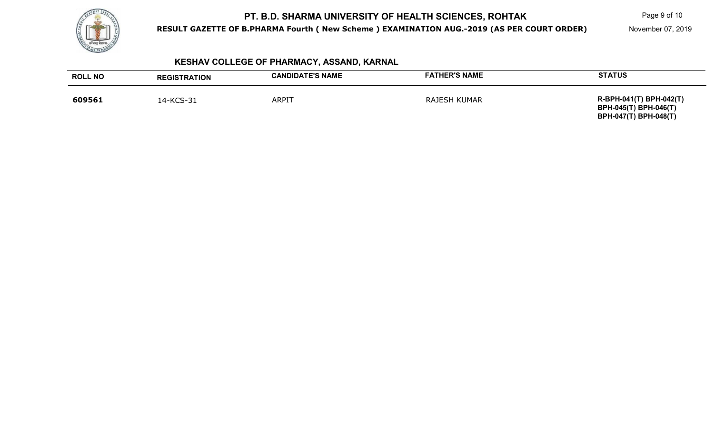

**RESULT GAZETTE OF B.PHARMA Fourth ( New Scheme ) EXAMINATION AUG.-2019 (AS PER COURT ORDER)**

Page 9 of 10

November 07, 2019

# **KESHAV COLLEGE OF PHARMACY, ASSAND, KARNAL**

| <b>ROLL NO</b> | <b>REGISTRATION</b> | <b>CANDIDATE'S NAME</b> | <b>FATHER'S NAME</b> | <b>STATUS</b>                                                                           |
|----------------|---------------------|-------------------------|----------------------|-----------------------------------------------------------------------------------------|
| 609561         | 14-KCS-31           | <b>ARPIT</b>            | <b>RAJESH KUMAR</b>  | R-BPH-041(T) BPH-042(T)<br><b>BPH-045(T) BPH-046(T)</b><br><b>BPH-047(T) BPH-048(T)</b> |